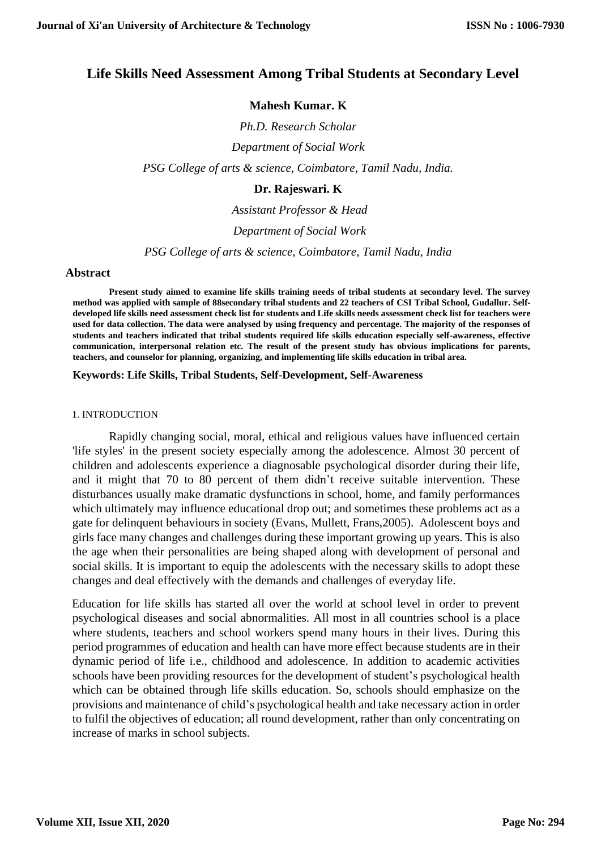# **Life Skills Need Assessment Among Tribal Students at Secondary Level**

# **Mahesh Kumar. K**

*Ph.D. Research Scholar Department of Social Work PSG College of arts & science, Coimbatore, Tamil Nadu, India.*

# **Dr. Rajeswari. K**

*Assistant Professor & Head*

*Department of Social Work* 

*PSG College of arts & science, Coimbatore, Tamil Nadu, India*

## **Abstract**

**Present study aimed to examine life skills training needs of tribal students at secondary level. The survey method was applied with sample of 88secondary tribal students and 22 teachers of CSI Tribal School, Gudallur. Selfdeveloped life skills need assessment check list for students and Life skills needs assessment check list for teachers were used for data collection. The data were analysed by using frequency and percentage. The majority of the responses of students and teachers indicated that tribal students required life skills education especially self-awareness, effective communication, interpersonal relation etc. The result of the present study has obvious implications for parents, teachers, and counselor for planning, organizing, and implementing life skills education in tribal area.** 

#### **Keywords: Life Skills, Tribal Students, Self-Development, Self-Awareness**

#### 1. INTRODUCTION

Rapidly changing social, moral, ethical and religious values have influenced certain 'life styles' in the present society especially among the adolescence. Almost 30 percent of children and adolescents experience a diagnosable psychological disorder during their life, and it might that 70 to 80 percent of them didn't receive suitable intervention. These disturbances usually make dramatic dysfunctions in school, home, and family performances which ultimately may influence educational drop out; and sometimes these problems act as a gate for delinquent behaviours in society (Evans, Mullett, Frans,2005). Adolescent boys and girls face many changes and challenges during these important growing up years. This is also the age when their personalities are being shaped along with development of personal and social skills. It is important to equip the adolescents with the necessary skills to adopt these changes and deal effectively with the demands and challenges of everyday life.

Education for life skills has started all over the world at school level in order to prevent psychological diseases and social abnormalities. All most in all countries school is a place where students, teachers and school workers spend many hours in their lives. During this period programmes of education and health can have more effect because students are in their dynamic period of life i.e., childhood and adolescence. In addition to academic activities schools have been providing resources for the development of student's psychological health which can be obtained through life skills education. So, schools should emphasize on the provisions and maintenance of child's psychological health and take necessary action in order to fulfil the objectives of education; all round development, rather than only concentrating on increase of marks in school subjects.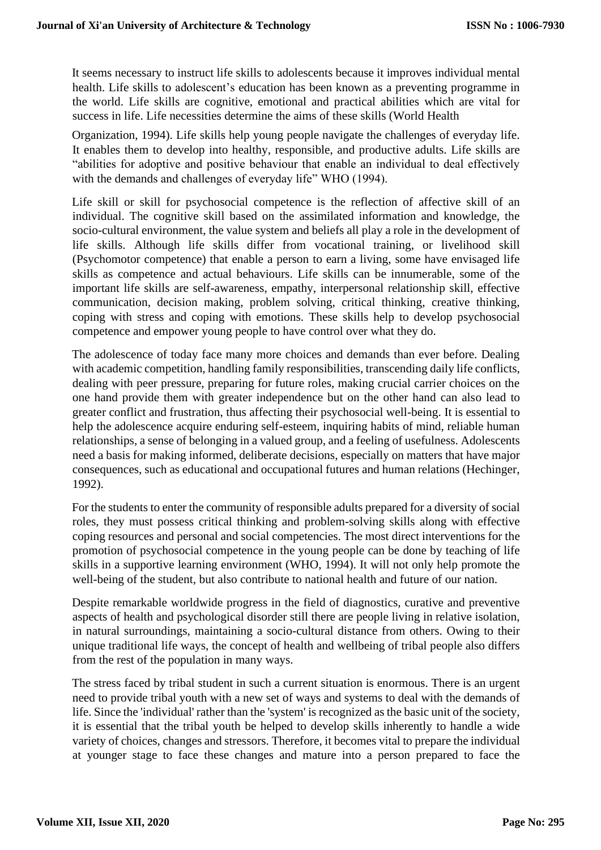It seems necessary to instruct life skills to adolescents because it improves individual mental health. Life skills to adolescent's education has been known as a preventing programme in the world. Life skills are cognitive, emotional and practical abilities which are vital for success in life. Life necessities determine the aims of these skills (World Health

Organization, 1994). Life skills help young people navigate the challenges of everyday life. It enables them to develop into healthy, responsible, and productive adults. Life skills are "abilities for adoptive and positive behaviour that enable an individual to deal effectively with the demands and challenges of everyday life" WHO (1994).

Life skill or skill for psychosocial competence is the reflection of affective skill of an individual. The cognitive skill based on the assimilated information and knowledge, the socio-cultural environment, the value system and beliefs all play a role in the development of life skills. Although life skills differ from vocational training, or livelihood skill (Psychomotor competence) that enable a person to earn a living, some have envisaged life skills as competence and actual behaviours. Life skills can be innumerable, some of the important life skills are self-awareness, empathy, interpersonal relationship skill, effective communication, decision making, problem solving, critical thinking, creative thinking, coping with stress and coping with emotions. These skills help to develop psychosocial competence and empower young people to have control over what they do.

The adolescence of today face many more choices and demands than ever before. Dealing with academic competition, handling family responsibilities, transcending daily life conflicts, dealing with peer pressure, preparing for future roles, making crucial carrier choices on the one hand provide them with greater independence but on the other hand can also lead to greater conflict and frustration, thus affecting their psychosocial well-being. It is essential to help the adolescence acquire enduring self-esteem, inquiring habits of mind, reliable human relationships, a sense of belonging in a valued group, and a feeling of usefulness. Adolescents need a basis for making informed, deliberate decisions, especially on matters that have major consequences, such as educational and occupational futures and human relations (Hechinger, 1992).

For the students to enter the community of responsible adults prepared for a diversity of social roles, they must possess critical thinking and problem-solving skills along with effective coping resources and personal and social competencies. The most direct interventions for the promotion of psychosocial competence in the young people can be done by teaching of life skills in a supportive learning environment (WHO, 1994). It will not only help promote the well-being of the student, but also contribute to national health and future of our nation.

Despite remarkable worldwide progress in the field of diagnostics, curative and preventive aspects of health and psychological disorder still there are people living in relative isolation, in natural surroundings, maintaining a socio-cultural distance from others. Owing to their unique traditional life ways, the concept of health and wellbeing of tribal people also differs from the rest of the population in many ways.

The stress faced by tribal student in such a current situation is enormous. There is an urgent need to provide tribal youth with a new set of ways and systems to deal with the demands of life. Since the 'individual' rather than the 'system' is recognized as the basic unit of the society, it is essential that the tribal youth be helped to develop skills inherently to handle a wide variety of choices, changes and stressors. Therefore, it becomes vital to prepare the individual at younger stage to face these changes and mature into a person prepared to face the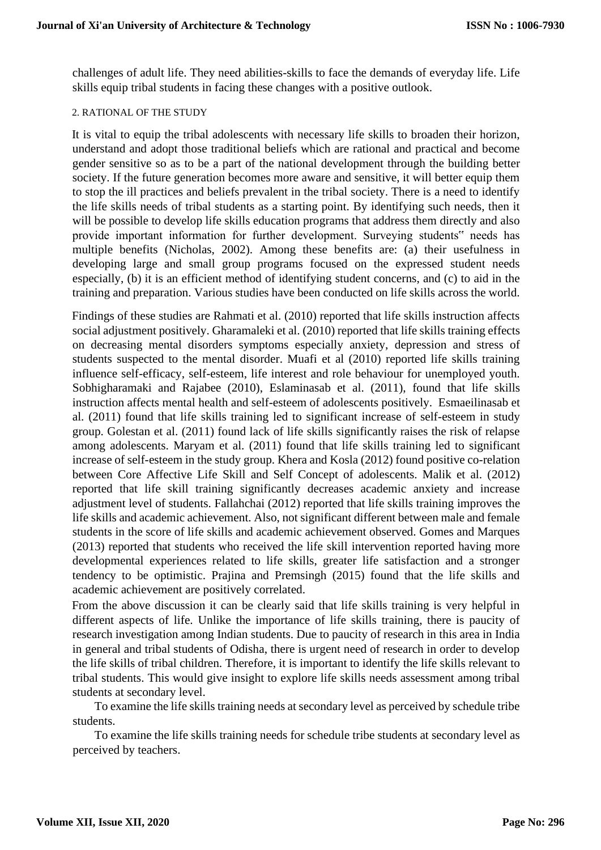challenges of adult life. They need abilities-skills to face the demands of everyday life. Life skills equip tribal students in facing these changes with a positive outlook.

## 2. RATIONAL OF THE STUDY

It is vital to equip the tribal adolescents with necessary life skills to broaden their horizon, understand and adopt those traditional beliefs which are rational and practical and become gender sensitive so as to be a part of the national development through the building better society. If the future generation becomes more aware and sensitive, it will better equip them to stop the ill practices and beliefs prevalent in the tribal society. There is a need to identify the life skills needs of tribal students as a starting point. By identifying such needs, then it will be possible to develop life skills education programs that address them directly and also provide important information for further development. Surveying students" needs has multiple benefits (Nicholas, 2002). Among these benefits are: (a) their usefulness in developing large and small group programs focused on the expressed student needs especially, (b) it is an efficient method of identifying student concerns, and (c) to aid in the training and preparation. Various studies have been conducted on life skills across the world.

Findings of these studies are Rahmati et al. (2010) reported that life skills instruction affects social adjustment positively. Gharamaleki et al. (2010) reported that life skills training effects on decreasing mental disorders symptoms especially anxiety, depression and stress of students suspected to the mental disorder. Muafi et al (2010) reported life skills training influence self-efficacy, self-esteem, life interest and role behaviour for unemployed youth. Sobhigharamaki and Rajabee (2010), Eslaminasab et al. (2011), found that life skills instruction affects mental health and self-esteem of adolescents positively. Esmaeilinasab et al. (2011) found that life skills training led to significant increase of self-esteem in study group. Golestan et al. (2011) found lack of life skills significantly raises the risk of relapse among adolescents. Maryam et al. (2011) found that life skills training led to significant increase of self-esteem in the study group. Khera and Kosla (2012) found positive co-relation between Core Affective Life Skill and Self Concept of adolescents. Malik et al. (2012) reported that life skill training significantly decreases academic anxiety and increase adjustment level of students. Fallahchai (2012) reported that life skills training improves the life skills and academic achievement. Also, not significant different between male and female students in the score of life skills and academic achievement observed. Gomes and Marques (2013) reported that students who received the life skill intervention reported having more developmental experiences related to life skills, greater life satisfaction and a stronger tendency to be optimistic. Prajina and Premsingh (2015) found that the life skills and academic achievement are positively correlated.

From the above discussion it can be clearly said that life skills training is very helpful in different aspects of life. Unlike the importance of life skills training, there is paucity of research investigation among Indian students. Due to paucity of research in this area in India in general and tribal students of Odisha, there is urgent need of research in order to develop the life skills of tribal children. Therefore, it is important to identify the life skills relevant to tribal students. This would give insight to explore life skills needs assessment among tribal students at secondary level.

To examine the life skills training needs at secondary level as perceived by schedule tribe students.

To examine the life skills training needs for schedule tribe students at secondary level as perceived by teachers.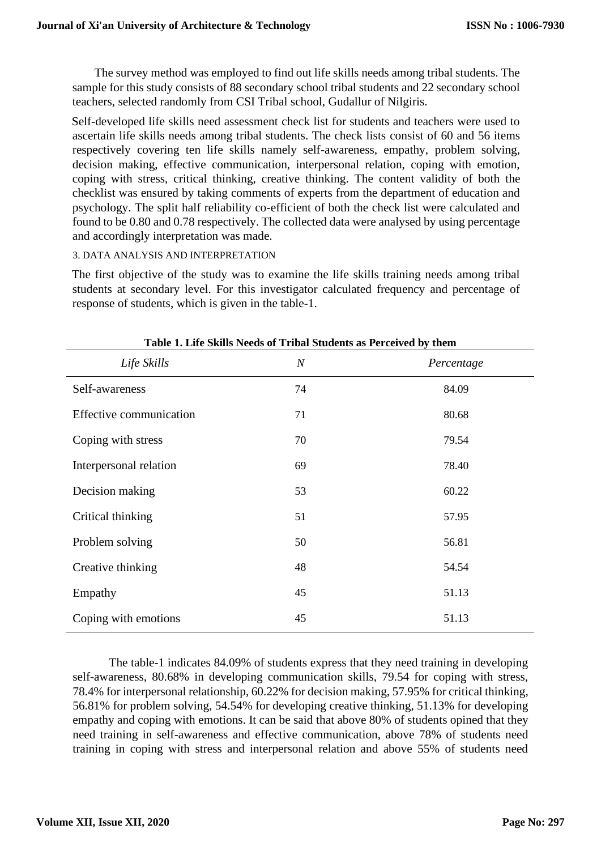The survey method was employed to find out life skills needs among tribal students. The sample for this study consists of 88 secondary school tribal students and 22 secondary school teachers, selected randomly from CSI Tribal school, Gudallur of Nilgiris.

Self-developed life skills need assessment check list for students and teachers were used to ascertain life skills needs among tribal students. The check lists consist of 60 and 56 items respectively covering ten life skills namely self-awareness, empathy, problem solving, decision making, effective communication, interpersonal relation, coping with emotion, coping with stress, critical thinking, creative thinking. The content validity of both the checklist was ensured by taking comments of experts from the department of education and psychology. The split half reliability co-efficient of both the check list were calculated and found to be 0.80 and 0.78 respectively. The collected data were analysed by using percentage and accordingly interpretation was made.

#### 3. DATA ANALYSIS AND INTERPRETATION

The first objective of the study was to examine the life skills training needs among tribal students at secondary level. For this investigator calculated frequency and percentage of response of students, which is given in the table-1.

| Life Skills             | $\cal N$ | Percentage |  |
|-------------------------|----------|------------|--|
| Self-awareness          | 74       | 84.09      |  |
| Effective communication | 71       | 80.68      |  |
| Coping with stress      | 70       | 79.54      |  |
| Interpersonal relation  | 69       | 78.40      |  |
| Decision making         | 53       | 60.22      |  |
| Critical thinking       | 51       | 57.95      |  |
| Problem solving         | 50       | 56.81      |  |
| Creative thinking       | 48       | 54.54      |  |
| Empathy                 | 45       | 51.13      |  |
| Coping with emotions    | 45       | 51.13      |  |

# **Table 1. Life Skills Needs of Tribal Students as Perceived by them**

The table-1 indicates 84.09% of students express that they need training in developing self-awareness, 80.68% in developing communication skills, 79.54 for coping with stress, 78.4% for interpersonal relationship, 60.22% for decision making, 57.95% for critical thinking, 56.81% for problem solving, 54.54% for developing creative thinking, 51.13% for developing empathy and coping with emotions. It can be said that above 80% of students opined that they need training in self-awareness and effective communication, above 78% of students need training in coping with stress and interpersonal relation and above 55% of students need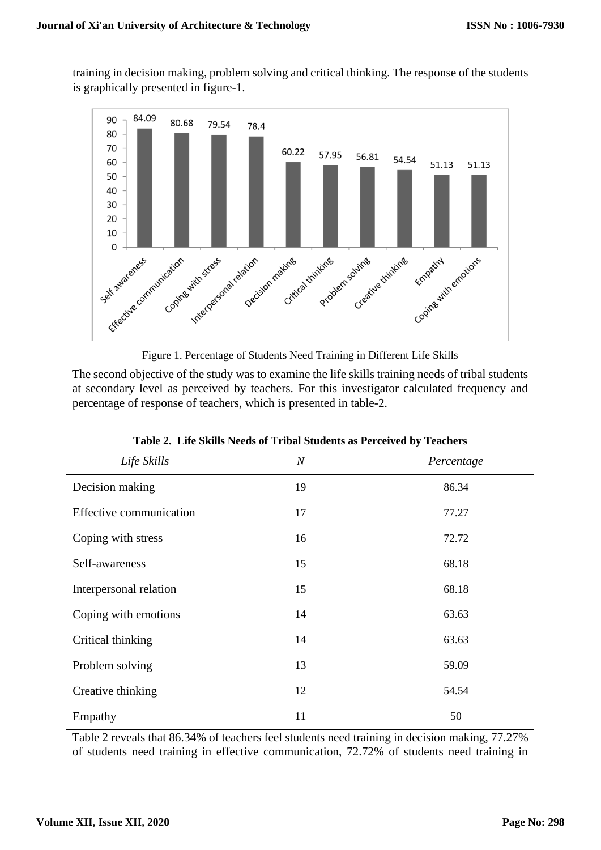training in decision making, problem solving and critical thinking. The response of the students is graphically presented in figure-1.





The second objective of the study was to examine the life skills training needs of tribal students at secondary level as perceived by teachers. For this investigator calculated frequency and percentage of response of teachers, which is presented in table-2.

| Table 2. Life SKIIS Needs of Tribal Students as Ferceived by Teachers |            |  |  |
|-----------------------------------------------------------------------|------------|--|--|
| $\cal N$                                                              | Percentage |  |  |
| 19                                                                    | 86.34      |  |  |
| 17                                                                    | 77.27      |  |  |
| 16                                                                    | 72.72      |  |  |
| 15                                                                    | 68.18      |  |  |
| 15                                                                    | 68.18      |  |  |
| 14                                                                    | 63.63      |  |  |
| 14                                                                    | 63.63      |  |  |
| 13                                                                    | 59.09      |  |  |
| 12                                                                    | 54.54      |  |  |
| 11                                                                    | 50         |  |  |
|                                                                       |            |  |  |

|  |  | Table 2. Life Skills Needs of Tribal Students as Perceived by Teachers |  |  |  |
|--|--|------------------------------------------------------------------------|--|--|--|
|--|--|------------------------------------------------------------------------|--|--|--|

Table 2 reveals that 86.34% of teachers feel students need training in decision making, 77.27% of students need training in effective communication, 72.72% of students need training in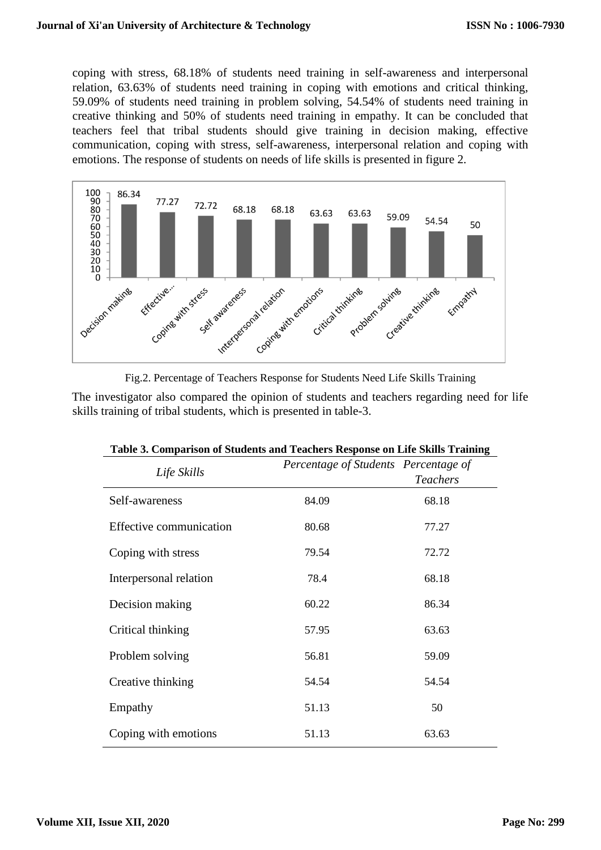coping with stress, 68.18% of students need training in self-awareness and interpersonal relation, 63.63% of students need training in coping with emotions and critical thinking, 59.09% of students need training in problem solving, 54.54% of students need training in creative thinking and 50% of students need training in empathy. It can be concluded that teachers feel that tribal students should give training in decision making, effective communication, coping with stress, self-awareness, interpersonal relation and coping with emotions. The response of students on needs of life skills is presented in figure 2.



Fig.2. Percentage of Teachers Response for Students Need Life Skills Training

The investigator also compared the opinion of students and teachers regarding need for life skills training of tribal students, which is presented in table-3.

| Life Skills                    | Percentage of Students Percentage of | <b>Teachers</b> |
|--------------------------------|--------------------------------------|-----------------|
| Self-awareness                 | 84.09                                | 68.18           |
| <b>Effective communication</b> | 80.68                                | 77.27           |
| Coping with stress             | 79.54                                | 72.72           |
| Interpersonal relation         | 78.4                                 | 68.18           |
| Decision making                | 60.22                                | 86.34           |
| Critical thinking              | 57.95                                | 63.63           |
| Problem solving                | 56.81                                | 59.09           |
| Creative thinking              | 54.54                                | 54.54           |
| Empathy                        | 51.13                                | 50              |
| Coping with emotions           | 51.13                                | 63.63           |

|  |  | Table 3. Comparison of Students and Teachers Response on Life Skills Training |
|--|--|-------------------------------------------------------------------------------|
|  |  |                                                                               |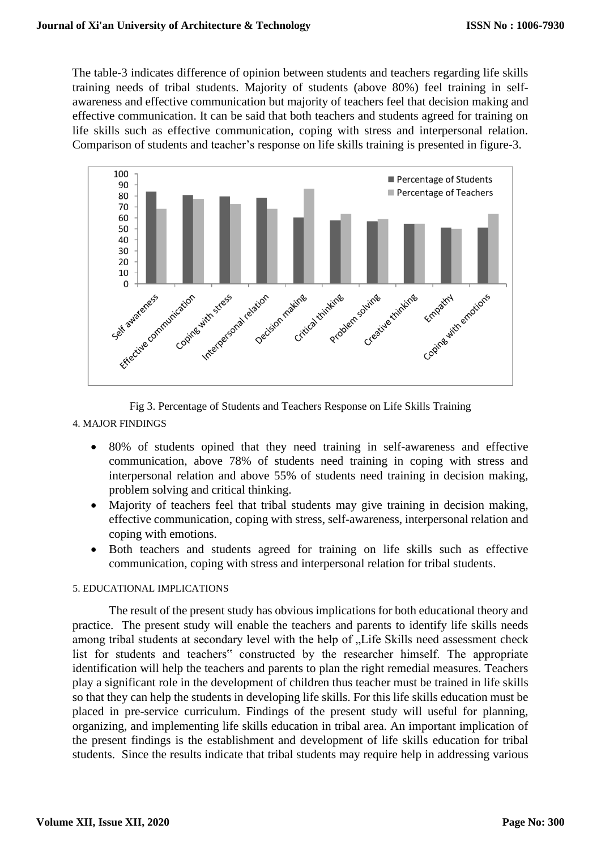The table-3 indicates difference of opinion between students and teachers regarding life skills training needs of tribal students. Majority of students (above 80%) feel training in selfawareness and effective communication but majority of teachers feel that decision making and effective communication. It can be said that both teachers and students agreed for training on life skills such as effective communication, coping with stress and interpersonal relation. Comparison of students and teacher's response on life skills training is presented in figure-3.



Fig 3. Percentage of Students and Teachers Response on Life Skills Training

- 4. MAJOR FINDINGS
	- 80% of students opined that they need training in self-awareness and effective communication, above 78% of students need training in coping with stress and interpersonal relation and above 55% of students need training in decision making, problem solving and critical thinking.
	- Majority of teachers feel that tribal students may give training in decision making, effective communication, coping with stress, self-awareness, interpersonal relation and coping with emotions.
	- Both teachers and students agreed for training on life skills such as effective communication, coping with stress and interpersonal relation for tribal students.

#### 5. EDUCATIONAL IMPLICATIONS

The result of the present study has obvious implications for both educational theory and practice. The present study will enable the teachers and parents to identify life skills needs among tribal students at secondary level with the help of "Life Skills need assessment check list for students and teachers" constructed by the researcher himself. The appropriate identification will help the teachers and parents to plan the right remedial measures. Teachers play a significant role in the development of children thus teacher must be trained in life skills so that they can help the students in developing life skills. For this life skills education must be placed in pre-service curriculum. Findings of the present study will useful for planning, organizing, and implementing life skills education in tribal area. An important implication of the present findings is the establishment and development of life skills education for tribal students. Since the results indicate that tribal students may require help in addressing various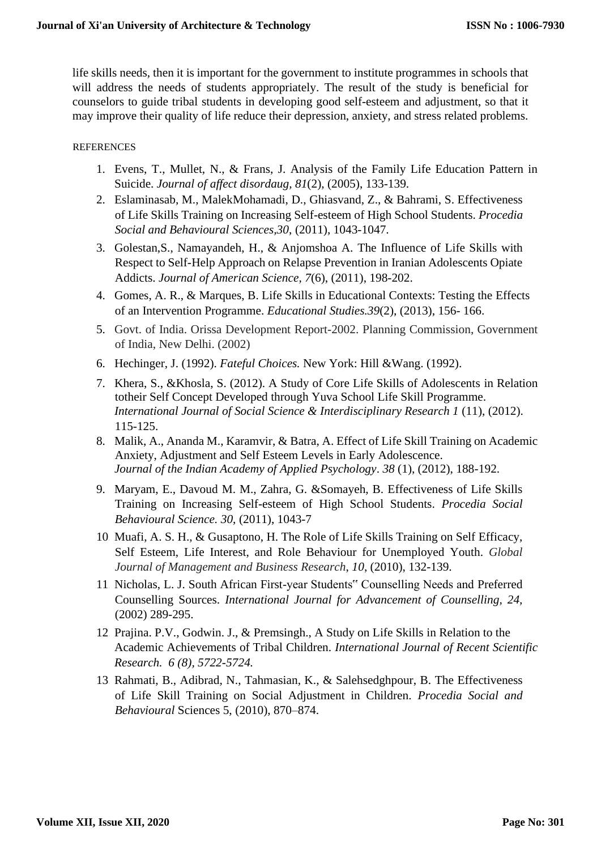life skills needs, then it is important for the government to institute programmes in schools that will address the needs of students appropriately. The result of the study is beneficial for counselors to guide tribal students in developing good self-esteem and adjustment, so that it may improve their quality of life reduce their depression, anxiety, and stress related problems.

# REFERENCES

- 1. Evens, T., Mullet, N., & Frans, J. Analysis of the Family Life Education Pattern in Suicide. *Journal of affect disordaug, 81*(2), (2005), 133-139.
- 2. Eslaminasab, M., MalekMohamadi, D., Ghiasvand, Z., & Bahrami, S. Effectiveness of Life Skills Training on Increasing Self-esteem of High School Students. *Procedia Social and Behavioural Sciences,30*, (2011), 1043-1047.
- 3. Golestan,S., Namayandeh, H., & Anjomshoa A. The Influence of Life Skills with Respect to Self-Help Approach on Relapse Prevention in Iranian Adolescents Opiate Addicts. *Journal of American Science, 7*(6), (2011), 198-202.
- 4. Gomes, A. R., & Marques, B. Life Skills in Educational Contexts: Testing the Effects of an Intervention Programme. *Educational Studies.39*(2), (2013), 156- 166.
- 5. Govt. of India. Orissa Development Report-2002. Planning Commission, Government of India, New Delhi. (2002)
- 6. Hechinger, J. (1992). *Fateful Choices.* New York: Hill &Wang. (1992).
- 7. Khera, S., &Khosla, S. (2012). A Study of Core Life Skills of Adolescents in Relation totheir Self Concept Developed through Yuva School Life Skill Programme. *International Journal of Social Science & Interdisciplinary Research 1* (11), (2012). 115-125.
- 8. Malik, A., Ananda M., Karamvir, & Batra, A. Effect of Life Skill Training on Academic Anxiety, Adjustment and Self Esteem Levels in Early Adolescence. *Journal of the Indian Academy of Applied Psychology*. *38* (1), (2012), 188-192.
- 9. Maryam, E., Davoud M. M., Zahra, G. &Somayeh, B. Effectiveness of Life Skills Training on Increasing Self-esteem of High School Students. *Procedia Social Behavioural Science. 30*, (2011), 1043-7
- 10. Muafi, A. S. H., & Gusaptono, H. The Role of Life Skills Training on Self Efficacy, Self Esteem, Life Interest, and Role Behaviour for Unemployed Youth. *Global Journal of Management and Business Research*, *10*, (2010), 132-139.
- 11. Nicholas, L. J. South African First-year Students" Counselling Needs and Preferred Counselling Sources. *International Journal for Advancement of Counselling, 24,* (2002) 289-295.
- 12. Prajina. P.V., Godwin. J., & Premsingh., A Study on Life Skills in Relation to the Academic Achievements of Tribal Children. *International Journal of Recent Scientific Research. 6 (8), 5722-5724.*
- 13. Rahmati, B., Adibrad, N., Tahmasian, K., & Salehsedghpour, B. The Effectiveness of Life Skill Training on Social Adjustment in Children. *Procedia Social and Behavioural* Sciences 5, (2010), 870–874.